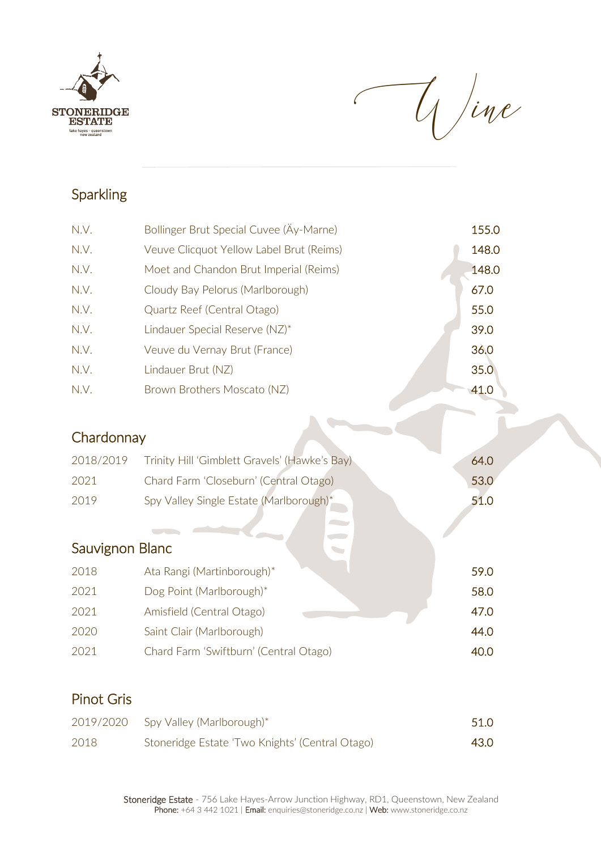

Wine

 $\mathbf{L}$ 

### **Sparkling**

| N.V.            | Bollinger Brut Special Cuvee (Äy-Marne)       | 155.0 |
|-----------------|-----------------------------------------------|-------|
| N.V.            | Veuve Clicquot Yellow Label Brut (Reims)      | 148.0 |
| N.V.            | Moet and Chandon Brut Imperial (Reims)        | 148.0 |
| N.V.            | Cloudy Bay Pelorus (Marlborough)              | 67.0  |
| N.V.            | Quartz Reef (Central Otago)                   | 55.0  |
| N.V.            | Lindauer Special Reserve (NZ)*                | 39.0  |
| N.V.            | Veuve du Vernay Brut (France)                 | 36.0  |
| N.V.            | Lindauer Brut (NZ)                            | 35.0  |
| N.V.            | Brown Brothers Moscato (NZ)                   | 41.0  |
|                 |                                               |       |
| Chardonnay      |                                               |       |
| 2018/2019       | Trinity Hill 'Gimblett Gravels' (Hawke's Bay) | 64.0  |
| 2021            | Chard Farm 'Closeburn' (Central Otago)        | 53.0  |
| 2019            | Spy Valley Single Estate (Marlborough)*       | 51.0  |
|                 |                                               |       |
| Sauvignon Blanc |                                               |       |
| 2018            | Ata Rangi (Martinborough)*                    | 59.0  |
| 2021            | Dog Point (Marlborough)*                      | 58.0  |
| 2021            | Amisfield (Central Otago)                     | 47.0  |
| 2020            | Saint Clair (Marlborough)                     | 44.0  |
| 2021            | Chard Farm 'Swiftburn' (Central Otago)        | 40.0  |
|                 |                                               |       |

#### Pinot Gris

| 2019/2020 | Spy Valley (Marlborough)*                       | 51.0 |
|-----------|-------------------------------------------------|------|
| 2018      | Stoneridge Estate 'Two Knights' (Central Otago) | 43.0 |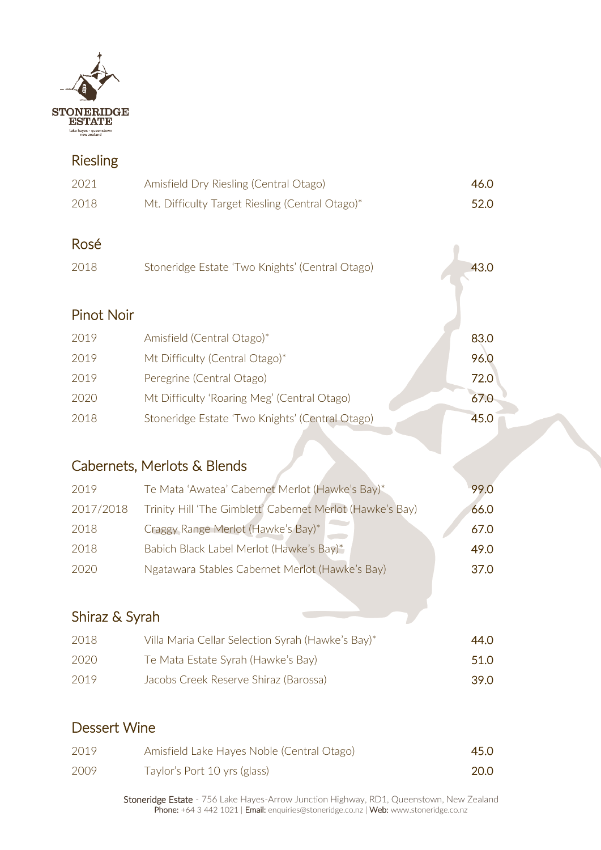

### Riesling

| 2021              | Amisfield Dry Riesling (Central Otago)          | 46.0 |
|-------------------|-------------------------------------------------|------|
| 2018              | Mt. Difficulty Target Riesling (Central Otago)* | 52.0 |
| Rosé              |                                                 |      |
| 2018              | Stoneridge Estate 'Two Knights' (Central Otago) | 43.0 |
|                   |                                                 |      |
| <b>Pinot Noir</b> |                                                 |      |
| 2019              | Amisfield (Central Otago)*                      | 83.0 |
| 2019              | Mt Difficulty (Central Otago)*                  | 96.0 |
| 2019              | Peregrine (Central Otago)                       | 72.0 |
| 2020              | Mt Difficulty 'Roaring Meg' (Central Otago)     | 67.0 |
| 2018              | Stoneridge Estate 'Two Knights' (Central Otago) | 45.0 |
|                   |                                                 |      |

# Cabernets, Merlots & Blends

| 2019      | Te Mata 'Awatea' Cabernet Merlot (Hawke's Bay)*           | 99.0 |
|-----------|-----------------------------------------------------------|------|
| 2017/2018 | Trinity Hill 'The Gimblett' Cabernet Merlot (Hawke's Bay) | 66.0 |
| 2018      | Craggy Range Merlot (Hawke's Bay)*                        | 67.0 |
| 2018      | Babich Black Label Merlot (Hawke's Bay)*                  | 49.0 |
| 2020      | Ngatawara Stables Cabernet Merlot (Hawke's Bay)           | 37.0 |
|           |                                                           |      |

## Shiraz & Syrah

| 2018 | Villa Maria Cellar Selection Syrah (Hawke's Bay)* | 44.O  |
|------|---------------------------------------------------|-------|
| 2020 | Te Mata Estate Syrah (Hawke's Bay)                | .51.O |
| 2019 | Jacobs Creek Reserve Shiraz (Barossa)             | .39.O |

### Dessert Wine

| 2019 | Amisfield Lake Hayes Noble (Central Otago) | 45.0 |
|------|--------------------------------------------|------|
| 2009 | Taylor's Port 10 yrs (glass)               | 20.0 |

Stoneridge Estate - 756 Lake Hayes-Arrow Junction Highway, RD1, Queenstown, New Zealand Phone: +64 3 442 1021 | Email: enquiries@stoneridge.co.nz | Web: www.stoneridge.co.nz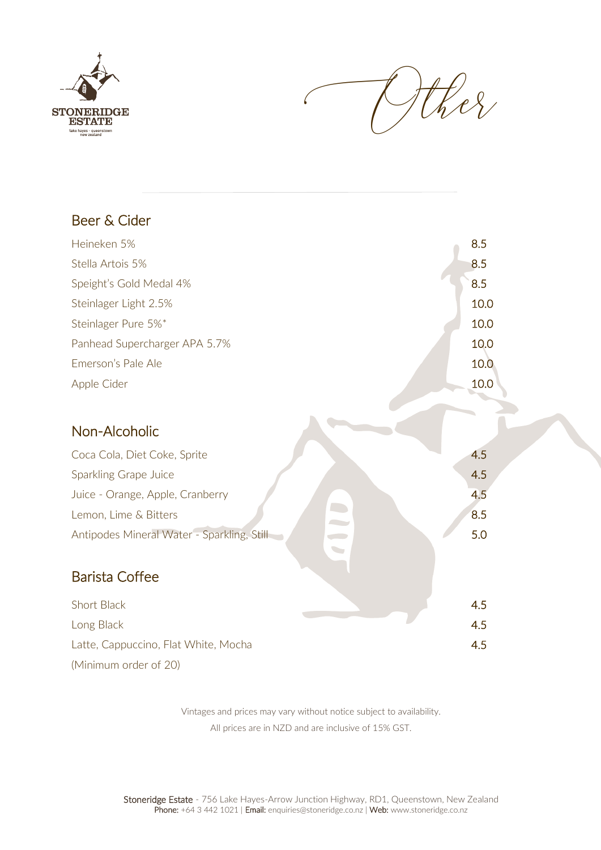



| Beer & Cider                               |      |
|--------------------------------------------|------|
| Heineken 5%                                | 8.5  |
| Stella Artois 5%                           | 8.5  |
| Speight's Gold Medal 4%                    | 8.5  |
| Steinlager Light 2.5%                      | 10.0 |
| Steinlager Pure 5%*                        | 10.0 |
| Panhead Supercharger APA 5.7%              | 10.0 |
| Emerson's Pale Ale                         | 10.0 |
| Apple Cider                                | 10.0 |
|                                            |      |
| Non-Alcoholic                              |      |
| Coca Cola, Diet Coke, Sprite               | 4.5  |
| Sparkling Grape Juice                      | 4.5  |
| Juice - Orange, Apple, Cranberry           | 4.5  |
| Lemon, Lime & Bitters                      | 8.5  |
| Antipodes Mineral Water - Sparkling, Still | 5.0  |
|                                            |      |
| <b>Barista Coffee</b>                      |      |
| Short Black                                | 4.5  |
| Long Black                                 | 4.5  |
| Latte, Cappuccino, Flat White, Mocha       | 4.5  |
|                                            |      |

(Minimum order of 20)

Vintages and prices may vary without notice subject to availability. All prices are in NZD and are inclusive of 15% GST.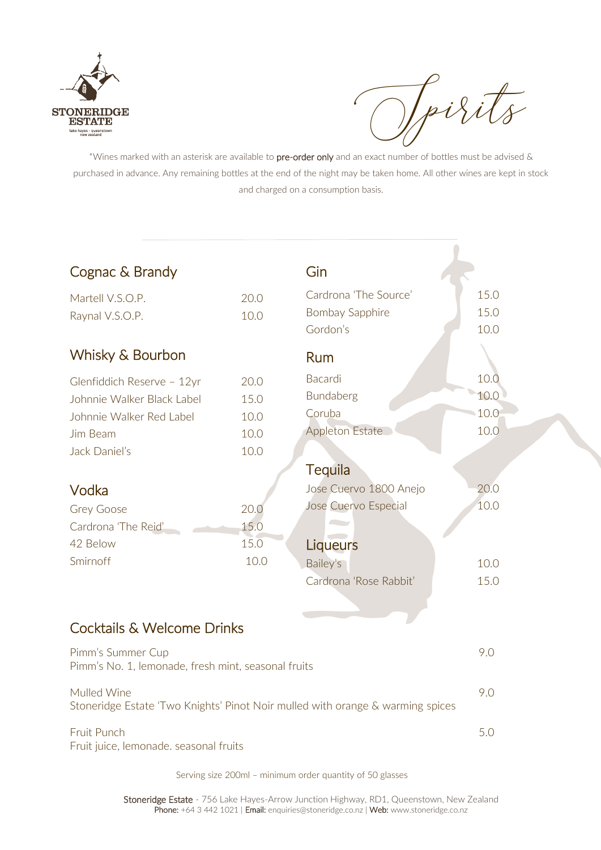

Ipirits

\*Wines marked with an asterisk are available to pre-order only and an exact number of bottles must be advised & purchased in advance. Any remaining bottles at the end of the night may be taken home. All other wines are kept in stock and charged on a consumption basis.

| Cognac & Brandy                                                                |      | Gin                    |      |
|--------------------------------------------------------------------------------|------|------------------------|------|
| Martell V.S.O.P.                                                               | 20.0 | Cardrona 'The Source'  | 15.0 |
| Raynal V.S.O.P.                                                                | 10.0 | <b>Bombay Sapphire</b> | 15.0 |
|                                                                                |      | Gordon's               | 10.0 |
| Whisky & Bourbon                                                               |      | Rum                    |      |
| Glenfiddich Reserve - 12yr                                                     | 20.0 | Bacardi                | 10.0 |
| Johnnie Walker Black Label                                                     | 15.0 | Bundaberg              | 10.0 |
| Johnnie Walker Red Label                                                       | 10.0 | Coruba                 | 10.0 |
| Jim Beam                                                                       | 10.0 | <b>Appleton Estate</b> | 10.0 |
| Jack Daniel's                                                                  | 10.0 |                        |      |
|                                                                                |      | <b>Tequila</b>         |      |
| Vodka                                                                          |      | Jose Cuervo 1800 Anejo | 20.0 |
| <b>Grey Goose</b>                                                              | 20.0 | Jose Cuervo Especial   | 10.0 |
| Cardrona 'The Reid'                                                            | 15.0 |                        |      |
| 42 Below                                                                       | 15.0 | Liqueurs               |      |
| Smirnoff                                                                       | 10.0 | Bailey's               | 10.0 |
|                                                                                |      | Cardrona 'Rose Rabbit' | 15.0 |
|                                                                                |      |                        |      |
| Cocktails & Welcome Drinks                                                     |      |                        |      |
| Pimm's Summer Cup                                                              |      |                        | 9.0  |
| Pimm's No. 1, lemonade, fresh mint, seasonal fruits                            |      |                        |      |
| Mulled Wine                                                                    |      |                        | 9.0  |
| Stoneridge Estate 'Two Knights' Pinot Noir mulled with orange & warming spices |      |                        |      |
| Fruit Punch                                                                    |      |                        | 5.0  |
| Fruit juice, lemonade. seasonal fruits                                         |      |                        |      |

Serving size 200ml – minimum order quantity of 50 glasses

Stoneridge Estate - 756 Lake Hayes-Arrow Junction Highway, RD1, Queenstown, New Zealand Phone: +64 3 442 1021 | Email: enquiries@stoneridge.co.nz | Web: www.stoneridge.co.nz